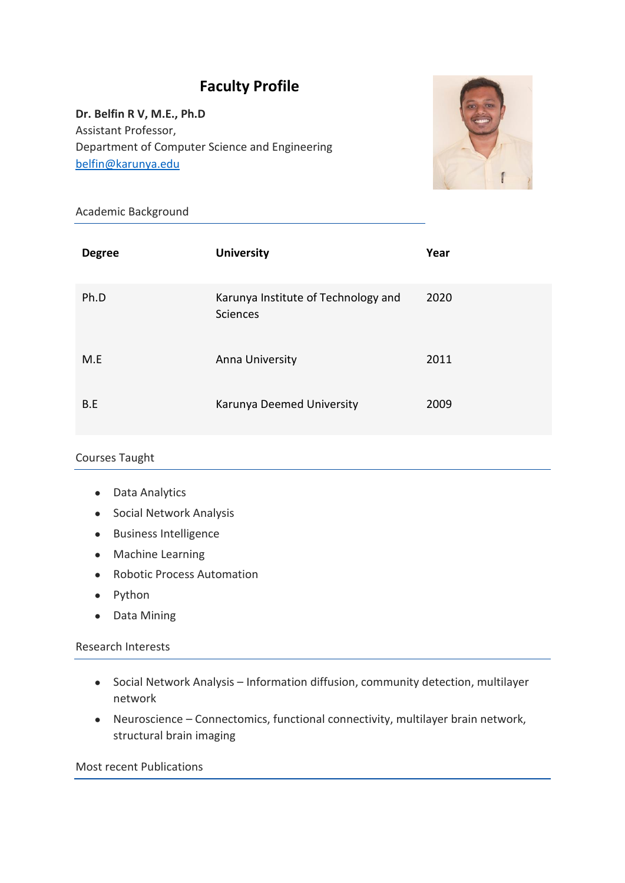# **Faculty Profile**

**Dr. Belfin R V, M.E., Ph.D** Assistant Professor, Department of Computer Science and Engineering [belfin@karunya.edu](mailto:belfin@karunya.edu)



## Academic Background

| <b>Degree</b> | <b>University</b>                                      | Year |
|---------------|--------------------------------------------------------|------|
| Ph.D          | Karunya Institute of Technology and<br><b>Sciences</b> | 2020 |
| M.E           | Anna University                                        | 2011 |
| B.E           | Karunya Deemed University                              | 2009 |

### Courses Taught

- Data Analytics
- Social Network Analysis
- Business Intelligence
- Machine Learning
- Robotic Process Automation
- Python
- Data Mining

#### Research Interests

- Social Network Analysis Information diffusion, community detection, multilayer network
- Neuroscience Connectomics, functional connectivity, multilayer brain network, structural brain imaging

#### Most recent Publications